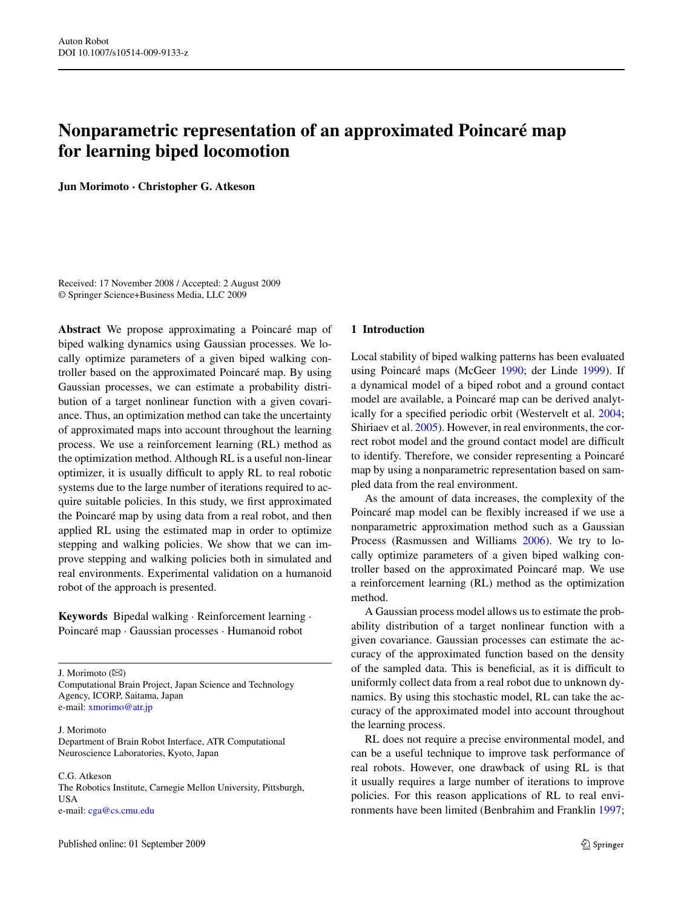# **Nonparametric representation of an approximated Poincaré map for learning biped locomotion**

**Jun Morimoto · Christopher G. Atkeson**

Received: 17 November 2008 / Accepted: 2 August 2009 © Springer Science+Business Media, LLC 2009

**Abstract** We propose approximating a Poincaré map of biped walking dynamics using Gaussian processes. We locally optimize parameters of a given biped walking controller based on the approximated Poincaré map. By using Gaussian processes, we can estimate a probability distribution of a target nonlinear function with a given covariance. Thus, an optimization method can take the uncertainty of approximated maps into account throughout the learning process. We use a reinforcement learning (RL) method as the optimization method. Although RL is a useful non-linear optimizer, it is usually difficult to apply RL to real robotic systems due to the large number of iterations required to acquire suitable policies. In this study, we first approximated the Poincaré map by using data from a real robot, and then applied RL using the estimated map in order to optimize stepping and walking policies. We show that we can improve stepping and walking policies both in simulated and real environments. Experimental validation on a humanoid robot of the approach is presented.

**Keywords** Bipedal walking · Reinforcement learning · Poincaré map · Gaussian processes · Humanoid robot

J. Morimoto  $(\boxtimes)$ Computational Brain Project, Japan Science and Technology Agency, ICORP, Saitama, Japan e-mail: [xmorimo@atr.jp](mailto:xmorimo@atr.jp)

J. Morimoto Department of Brain Robot Interface, ATR Computational Neuroscience Laboratories, Kyoto, Japan

C.G. Atkeson The Robotics Institute, Carnegie Mellon University, Pittsburgh, USA e-mail: [cga@cs.cmu.edu](mailto:cga@cs.cmu.edu)

## **1 Introduction**

Local stability of biped walking patterns has been evaluated using Poincaré maps (McGeer [1990](#page-12-0); der Linde [1999](#page-11-0)). If a dynamical model of a biped robot and a ground contact model are available, a Poincaré map can be derived analytically for a specified periodic orbit (Westervelt et al. [2004](#page-12-0); Shiriaev et al. [2005](#page-12-0)). However, in real environments, the correct robot model and the ground contact model are difficult to identify. Therefore, we consider representing a Poincaré map by using a nonparametric representation based on sampled data from the real environment.

As the amount of data increases, the complexity of the Poincaré map model can be flexibly increased if we use a nonparametric approximation method such as a Gaussian Process (Rasmussen and Williams [2006](#page-12-0)). We try to locally optimize parameters of a given biped walking controller based on the approximated Poincaré map. We use a reinforcement learning (RL) method as the optimization method.

A Gaussian process model allows us to estimate the probability distribution of a target nonlinear function with a given covariance. Gaussian processes can estimate the accuracy of the approximated function based on the density of the sampled data. This is beneficial, as it is difficult to uniformly collect data from a real robot due to unknown dynamics. By using this stochastic model, RL can take the accuracy of the approximated model into account throughout the learning process.

RL does not require a precise environmental model, and can be a useful technique to improve task performance of real robots. However, one drawback of using RL is that it usually requires a large number of iterations to improve policies. For this reason applications of RL to real environments have been limited (Benbrahim and Franklin [1997](#page-11-0);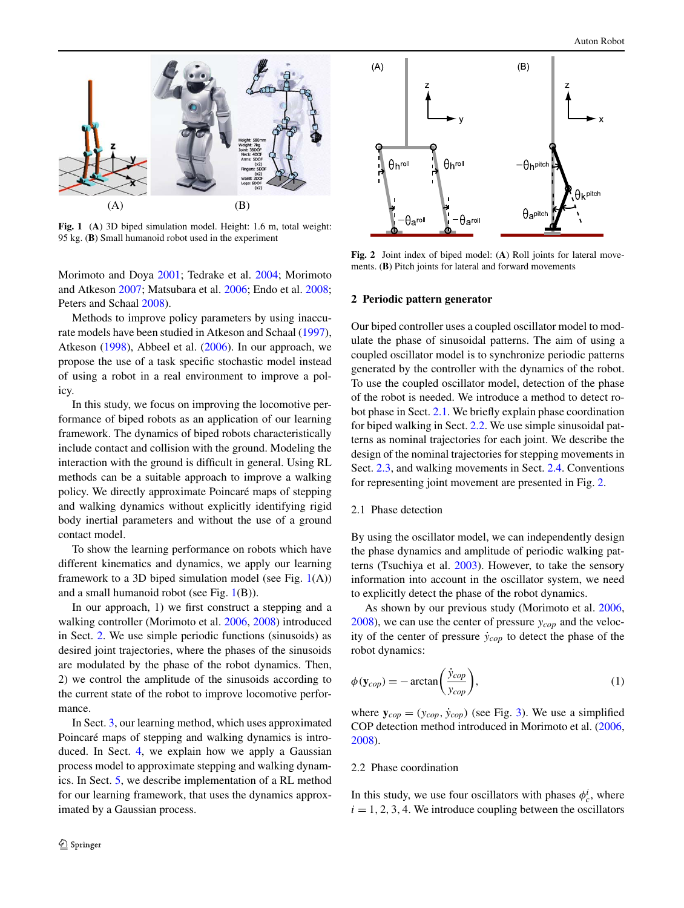<span id="page-1-0"></span>

**Fig. 1** (**A**) 3D biped simulation model. Height: 1.6 m, total weight: 95 kg. (**B**) Small humanoid robot used in the experiment

Morimoto and Doya [2001](#page-12-0); Tedrake et al. [2004](#page-12-0); Morimoto and Atkeson [2007](#page-12-0); Matsubara et al. [2006](#page-12-0); Endo et al. [2008](#page-11-0); Peters and Schaal [2008\)](#page-12-0).

Methods to improve policy parameters by using inaccurate models have been studied in Atkeson and Schaal [\(1997](#page-11-0)), Atkeson [\(1998](#page-11-0)), Abbeel et al. [\(2006](#page-11-0)). In our approach, we propose the use of a task specific stochastic model instead of using a robot in a real environment to improve a policy.

In this study, we focus on improving the locomotive performance of biped robots as an application of our learning framework. The dynamics of biped robots characteristically include contact and collision with the ground. Modeling the interaction with the ground is difficult in general. Using RL methods can be a suitable approach to improve a walking policy. We directly approximate Poincaré maps of stepping and walking dynamics without explicitly identifying rigid body inertial parameters and without the use of a ground contact model.

To show the learning performance on robots which have different kinematics and dynamics, we apply our learning framework to a 3D biped simulation model (see Fig.  $1(A)$ ) and a small humanoid robot (see Fig. 1(B)).

In our approach, 1) we first construct a stepping and a walking controller (Morimoto et al. [2006](#page-12-0), [2008](#page-12-0)) introduced in Sect. 2. We use simple periodic functions (sinusoids) as desired joint trajectories, where the phases of the sinusoids are modulated by the phase of the robot dynamics. Then, 2) we control the amplitude of the sinusoids according to the current state of the robot to improve locomotive performance.

In Sect. [3,](#page-2-0) our learning method, which uses approximated Poincaré maps of stepping and walking dynamics is introduced. In Sect. [4](#page-4-0), we explain how we apply a Gaussian process model to approximate stepping and walking dynamics. In Sect. [5](#page-5-0), we describe implementation of a RL method for our learning framework, that uses the dynamics approximated by a Gaussian process.



**Fig. 2** Joint index of biped model: (**A**) Roll joints for lateral movements. (**B**) Pitch joints for lateral and forward movements

#### **2 Periodic pattern generator**

Our biped controller uses a coupled oscillator model to modulate the phase of sinusoidal patterns. The aim of using a coupled oscillator model is to synchronize periodic patterns generated by the controller with the dynamics of the robot. To use the coupled oscillator model, detection of the phase of the robot is needed. We introduce a method to detect robot phase in Sect. 2.1. We briefly explain phase coordination for biped walking in Sect. 2.2. We use simple sinusoidal patterns as nominal trajectories for each joint. We describe the design of the nominal trajectories for stepping movements in Sect. [2.3](#page-2-0), and walking movements in Sect. [2.4](#page-2-0). Conventions for representing joint movement are presented in Fig. 2.

# 2.1 Phase detection

By using the oscillator model, we can independently design the phase dynamics and amplitude of periodic walking patterns (Tsuchiya et al. [2003\)](#page-12-0). However, to take the sensory information into account in the oscillator system, we need to explicitly detect the phase of the robot dynamics.

As shown by our previous study (Morimoto et al. [2006,](#page-12-0) [2008\)](#page-12-0), we can use the center of pressure *ycop* and the velocity of the center of pressure  $\dot{y}_{cop}$  to detect the phase of the robot dynamics:

$$
\phi(\mathbf{y}_{cop}) = -\arctan\left(\frac{\dot{y}_{cop}}{y_{cop}}\right),\tag{1}
$$

where  $y_{\text{cop}} = (y_{\text{cop}}, \dot{y}_{\text{cop}})$  (see Fig. [3](#page-2-0)). We use a simplified COP detection method introduced in Morimoto et al. ([2006](#page-12-0), [2008\)](#page-12-0).

## 2.2 Phase coordination

In this study, we use four oscillators with phases  $\phi_c^i$ , where  $i = 1, 2, 3, 4$ . We introduce coupling between the oscillators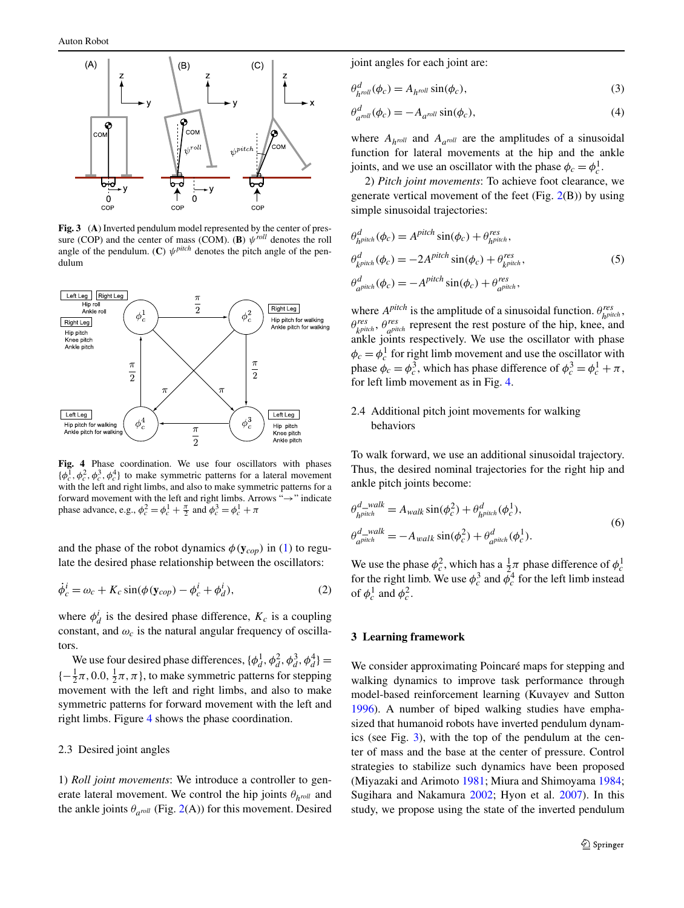<span id="page-2-0"></span>

**Fig. 3** (**A**) Inverted pendulum model represented by the center of pressure (COP) and the center of mass (COM). (**B**) *ψroll* denotes the roll angle of the pendulum. (**C**)  $\psi^{pitch}$  denotes the pitch angle of the pendulum



**Fig. 4** Phase coordination. We use four oscillators with phases  ${\phi_c^1, \phi_c^2, \phi_c^3, \phi_c^4}$  to make symmetric patterns for a lateral movement with the left and right limbs, and also to make symmetric patterns for a forward movement with the left and right limbs. Arrows "→" indicate phase advance, e.g.,  $\phi_c^2 = \phi_c^1 + \frac{\pi}{2}$  and  $\phi_c^3 = \phi_c^1 + \pi$ 

and the phase of the robot dynamics  $\phi(\mathbf{y}_{\textit{cop}})$  in [\(1](#page-1-0)) to regulate the desired phase relationship between the oscillators:

$$
\dot{\phi}_c^i = \omega_c + K_c \sin(\phi(\mathbf{y}_{cop}) - \phi_c^i + \phi_d^i),\tag{2}
$$

where  $\phi_d^i$  is the desired phase difference,  $K_c$  is a coupling constant, and  $\omega_c$  is the natural angular frequency of oscillators.

We use four desired phase differences,  $\{\phi_d^1, \phi_d^2, \phi_d^3, \phi_d^4\}$  ${-\frac{1}{2}\pi, 0.0, \frac{1}{2}\pi, \pi}$ , to make symmetric patterns for stepping movement with the left and right limbs, and also to make symmetric patterns for forward movement with the left and right limbs. Figure 4 shows the phase coordination.

# 2.3 Desired joint angles

1) *Roll joint movements*: We introduce a controller to generate lateral movement. We control the hip joints  $\theta_{h^{roll}}$  and the ankle joints  $\theta_{a}$ *roll* (Fig. [2\(](#page-1-0)A)) for this movement. Desired joint angles for each joint are:

$$
\theta_{h^{roll}}^d(\phi_c) = A_{h^{roll}} \sin(\phi_c),\tag{3}
$$

$$
\theta_{a^{\text{roll}}}^d(\phi_c) = -A_{a^{\text{roll}}} \sin(\phi_c),\tag{4}
$$

where  $A_{h}$ <sup>*noll*</sup> and  $A_{h}$ *<sub><i>aroll*</sub> are the amplitudes of a sinusoidal function for lateral movements at the hip and the ankle joints, and we use an oscillator with the phase  $\phi_c = \phi_c^1$ .

2) *Pitch joint movements*: To achieve foot clearance, we generate vertical movement of the feet (Fig. [2](#page-1-0)(B)) by using simple sinusoidal trajectories:

$$
\theta_{h^{pitch}}^d(\phi_c) = A^{pitch} \sin(\phi_c) + \theta_{h^{pitch}}^{res},
$$
  
\n
$$
\theta_{k^{pitch}}^d(\phi_c) = -2A^{pitch} \sin(\phi_c) + \theta_{k^{pitch}}^{res},
$$
  
\n
$$
\theta_{a^{pitch}}^d(\phi_c) = -A^{pitch} \sin(\phi_c) + \theta_{a^{pitch}}^{res},
$$
\n(5)

where  $A^{pitch}$  is the amplitude of a sinusoidal function.  $\theta^{res}_{h^{pitch}}$ ,  $θ<sup>res</sup><sub>*k*pitch<sub>*l*pitch<sub>*l*ighth<sub>*l*ighth<sub>*l*ighth<sub>*l*ighth<sub>*l*ighth<sub>*l*ighth<sub>*l*ighth<sub>*l*ighth<sub>*l*ighth<sub>*l*ighth<sub>*l*ighth<sub>*l*ighth<sub>*l*ighth<sub>*l*ighth<sub>*l*ighth<sub>*l*ighth<sub>*l*ighth<sub>*l*ighth<sub>*l*ighth<sub><</sub></sub></sub></sub></sub></sub></sub></sub></sub></sub></sub></sub></sub></sub></sub></sub></sub></sub></sub></sub></sub></sub>$ ankle joints respectively. We use the oscillator with phase  $\phi_c = \phi_c^1$  for right limb movement and use the oscillator with phase  $\phi_c = \phi_c^3$ , which has phase difference of  $\phi_c^3 = \phi_c^1 + \pi$ , for left limb movement as in Fig. 4.

# 2.4 Additional pitch joint movements for walking behaviors

To walk forward, we use an additional sinusoidal trajectory. Thus, the desired nominal trajectories for the right hip and ankle pitch joints become:

$$
\theta_{h^{pitch}}^{d\_walk} = A_{walk} \sin(\phi_c^2) + \theta_{h^{pitch}}^d(\phi_c^1),
$$
  
\n
$$
\theta_{a^{pitch}}^{d\_walk} = -A_{walk} \sin(\phi_c^2) + \theta_{a^{pitch}}^d(\phi_c^1).
$$
\n(6)

We use the phase  $\phi_c^2$ , which has a  $\frac{1}{2}\pi$  phase difference of  $\phi_c^1$ for the right limb. We use  $\phi_c^3$  and  $\bar{\phi}_c^4$  for the left limb instead of  $\phi_c^1$  and  $\phi_c^2$ .

# **3 Learning framework**

We consider approximating Poincaré maps for stepping and walking dynamics to improve task performance through model-based reinforcement learning (Kuvayev and Sutton [1996\)](#page-12-0). A number of biped walking studies have emphasized that humanoid robots have inverted pendulum dynamics (see Fig. 3), with the top of the pendulum at the center of mass and the base at the center of pressure. Control strategies to stabilize such dynamics have been proposed (Miyazaki and Arimoto [1981](#page-12-0); Miura and Shimoyama [1984](#page-12-0); Sugihara and Nakamura [2002](#page-12-0); Hyon et al. [2007](#page-12-0)). In this study, we propose using the state of the inverted pendulum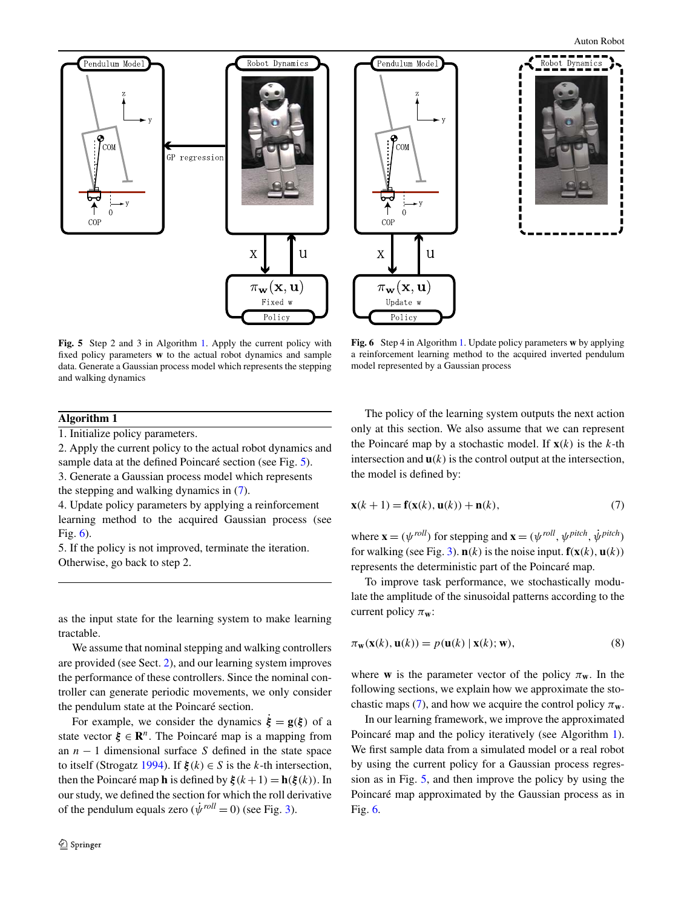<span id="page-3-0"></span>

**Fig. 5** Step 2 and 3 in Algorithm 1. Apply the current policy with fixed policy parameters **w** to the actual robot dynamics and sample data. Generate a Gaussian process model which represents the stepping and walking dynamics



**Fig. 6** Step 4 in Algorithm 1. Update policy parameters **w** by applying a reinforcement learning method to the acquired inverted pendulum model represented by a Gaussian process

# **Algorithm 1**

1. Initialize policy parameters.

2. Apply the current policy to the actual robot dynamics and sample data at the defined Poincaré section (see Fig. 5).

3. Generate a Gaussian process model which represents the stepping and walking dynamics in (7).

4. Update policy parameters by applying a reinforcement learning method to the acquired Gaussian process (see Fig. 6).

5. If the policy is not improved, terminate the iteration. Otherwise, go back to step 2.

as the input state for the learning system to make learning tractable.

We assume that nominal stepping and walking controllers are provided (see Sect. [2\)](#page-1-0), and our learning system improves the performance of these controllers. Since the nominal controller can generate periodic movements, we only consider the pendulum state at the Poincaré section.

For example, we consider the dynamics  $\dot{\xi} = g(\xi)$  of a state vector  $\xi \in \mathbb{R}^n$ . The Poincaré map is a mapping from an *n* − 1 dimensional surface *S* defined in the state space to itself (Strogatz [1994\)](#page-12-0). If  $\xi(k) \in S$  is the *k*-th intersection, then the Poincaré map **h** is defined by  $\xi(k+1) = h(\xi(k))$ . In our study, we defined the section for which the roll derivative of the pendulum equals zero ( $\dot{\psi}^{roll} = 0$ ) (see Fig. [3](#page-2-0)).

The policy of the learning system outputs the next action only at this section. We also assume that we can represent the Poincaré map by a stochastic model. If  $\mathbf{x}(k)$  is the *k*-th intersection and  $\mathbf{u}(k)$  is the control output at the intersection, the model is defined by:

$$
\mathbf{x}(k+1) = \mathbf{f}(\mathbf{x}(k), \mathbf{u}(k)) + \mathbf{n}(k),\tag{7}
$$

where  $\mathbf{x} = (\psi^{roll})$  for stepping and  $\mathbf{x} = (\psi^{roll}, \psi^{pitch}, \dot{\psi}^{pitch})$ for walking (see Fig. [3](#page-2-0)).  $\mathbf{n}(k)$  is the noise input.  $\mathbf{f}(\mathbf{x}(k), \mathbf{u}(k))$ represents the deterministic part of the Poincaré map.

To improve task performance, we stochastically modulate the amplitude of the sinusoidal patterns according to the current policy *π***w**:

$$
\pi_{\mathbf{w}}(\mathbf{x}(k), \mathbf{u}(k)) = p(\mathbf{u}(k) | \mathbf{x}(k); \mathbf{w}),
$$
\n(8)

where **w** is the parameter vector of the policy  $\pi_w$ . In the following sections, we explain how we approximate the stochastic maps (7), and how we acquire the control policy  $\pi_{\bf w}$ .

In our learning framework, we improve the approximated Poincaré map and the policy iteratively (see Algorithm 1). We first sample data from a simulated model or a real robot by using the current policy for a Gaussian process regression as in Fig. 5, and then improve the policy by using the Poincaré map approximated by the Gaussian process as in Fig. 6.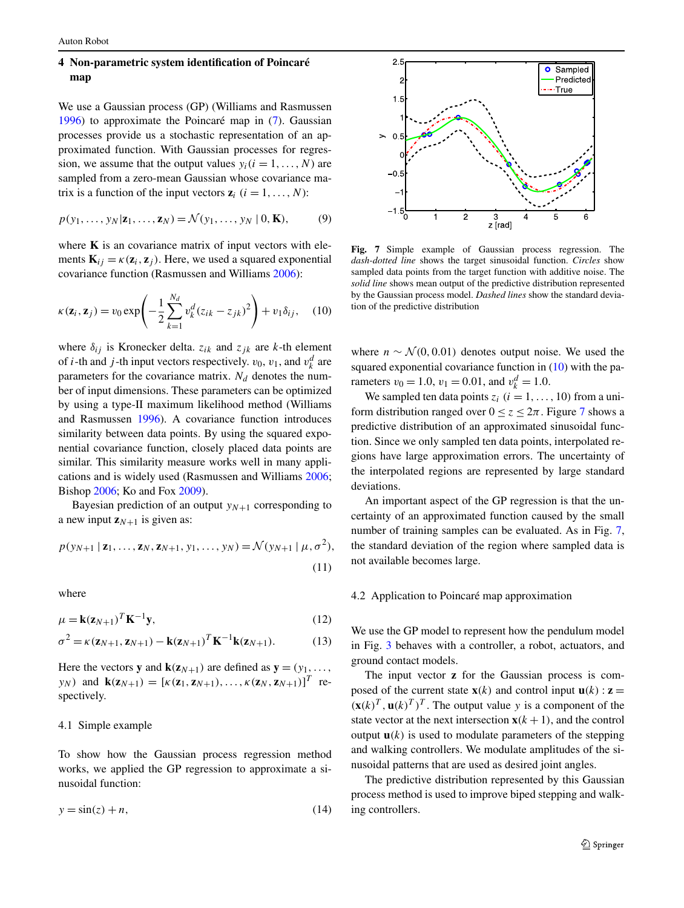# <span id="page-4-0"></span>**4 Non-parametric system identification of Poincaré map**

We use a Gaussian process (GP) (Williams and Rasmussen [1996\)](#page-12-0) to approximate the Poincaré map in [\(7](#page-3-0)). Gaussian processes provide us a stochastic representation of an approximated function. With Gaussian processes for regression, we assume that the output values  $y_i(i = 1, \ldots, N)$  are sampled from a zero-mean Gaussian whose covariance matrix is a function of the input vectors  $z_i$  ( $i = 1, ..., N$ ):

$$
p(y_1, \ldots, y_N | \mathbf{z}_1, \ldots, \mathbf{z}_N) = \mathcal{N}(y_1, \ldots, y_N | 0, \mathbf{K}),
$$
 (9)

where **K** is an covariance matrix of input vectors with elements  $\mathbf{K}_{ij} = \kappa(\mathbf{z}_i, \mathbf{z}_j)$ . Here, we used a squared exponential covariance function (Rasmussen and Williams [2006\)](#page-12-0):

$$
\kappa(\mathbf{z}_i, \mathbf{z}_j) = v_0 \exp\left(-\frac{1}{2} \sum_{k=1}^{N_d} v_k^d (z_{ik} - z_{jk})^2\right) + v_1 \delta_{ij}, \quad (10)
$$

where  $\delta_{ij}$  is Kronecker delta.  $z_{ik}$  and  $z_{jk}$  are *k*-th element of *i*-th and *j*-th input vectors respectively.  $v_0$ ,  $v_1$ , and  $v_k^d$  are parameters for the covariance matrix.  $N_d$  denotes the number of input dimensions. These parameters can be optimized by using a type-II maximum likelihood method (Williams and Rasmussen [1996](#page-12-0)). A covariance function introduces similarity between data points. By using the squared exponential covariance function, closely placed data points are similar. This similarity measure works well in many applications and is widely used (Rasmussen and Williams [2006](#page-12-0); Bishop [2006](#page-11-0); Ko and Fox [2009\)](#page-12-0).

Bayesian prediction of an output  $y_{N+1}$  corresponding to a new input  $z_{N+1}$  is given as:

$$
p(y_{N+1} | \mathbf{z}_1, \dots, \mathbf{z}_N, \mathbf{z}_{N+1}, y_1, \dots, y_N) = \mathcal{N}(y_{N+1} | \mu, \sigma^2),
$$
\n(11)

where

$$
\mu = \mathbf{k} (\mathbf{z}_{N+1})^T \mathbf{K}^{-1} \mathbf{y},\tag{12}
$$

$$
\sigma^2 = \kappa(\mathbf{z}_{N+1}, \mathbf{z}_{N+1}) - \mathbf{k}(\mathbf{z}_{N+1})^T \mathbf{K}^{-1} \mathbf{k}(\mathbf{z}_{N+1}).
$$
 (13)

Here the vectors **y** and **k**( $\mathbf{z}_{N+1}$ ) are defined as  $\mathbf{y} = (y_1, \ldots, y_n)$  $y_N$ *)* and  $\mathbf{k}(\mathbf{z}_{N+1}) = [k(\mathbf{z}_1, \mathbf{z}_{N+1}), \dots, k(\mathbf{z}_N, \mathbf{z}_{N+1})]^T$  respectively.

#### 4.1 Simple example

To show how the Gaussian process regression method works, we applied the GP regression to approximate a sinusoidal function:

$$
y = \sin(z) + n,\tag{14}
$$



**Fig. 7** Simple example of Gaussian process regression. The *dash-dotted line* shows the target sinusoidal function. *Circles* show sampled data points from the target function with additive noise. The *solid line* shows mean output of the predictive distribution represented by the Gaussian process model. *Dashed lines* show the standard deviation of the predictive distribution

where  $n \sim \mathcal{N}(0, 0.01)$  denotes output noise. We used the squared exponential covariance function in  $(10)$  with the parameters  $v_0 = 1.0$ ,  $v_1 = 0.01$ , and  $v_k^d = 1.0$ .

We sampled ten data points  $z_i$   $(i = 1, \ldots, 10)$  from a uniform distribution ranged over  $0 \le z \le 2\pi$ . Figure 7 shows a predictive distribution of an approximated sinusoidal function. Since we only sampled ten data points, interpolated regions have large approximation errors. The uncertainty of the interpolated regions are represented by large standard deviations.

An important aspect of the GP regression is that the uncertainty of an approximated function caused by the small number of training samples can be evaluated. As in Fig. 7, the standard deviation of the region where sampled data is not available becomes large.

#### 4.2 Application to Poincaré map approximation

We use the GP model to represent how the pendulum model in Fig. [3](#page-2-0) behaves with a controller, a robot, actuators, and ground contact models.

The input vector **z** for the Gaussian process is composed of the current state  $\mathbf{x}(k)$  and control input  $\mathbf{u}(k)$ :  $\mathbf{z} =$  $({\bf x}(k)^T, {\bf u}(k)^T)^T$ . The output value *y* is a component of the state vector at the next intersection  $\mathbf{x}(k+1)$ , and the control output  $\mathbf{u}(k)$  is used to modulate parameters of the stepping and walking controllers. We modulate amplitudes of the sinusoidal patterns that are used as desired joint angles.

The predictive distribution represented by this Gaussian process method is used to improve biped stepping and walking controllers.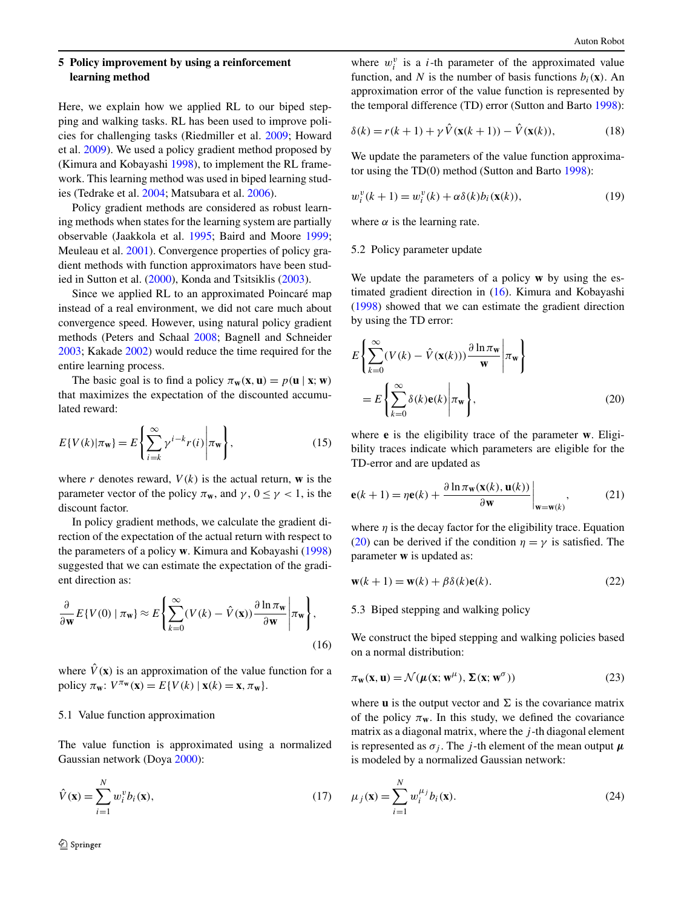# <span id="page-5-0"></span>**5 Policy improvement by using a reinforcement learning method**

Here, we explain how we applied RL to our biped stepping and walking tasks. RL has been used to improve policies for challenging tasks (Riedmiller et al. [2009](#page-12-0); Howard et al. [2009\)](#page-12-0). We used a policy gradient method proposed by (Kimura and Kobayashi [1998\)](#page-12-0), to implement the RL framework. This learning method was used in biped learning studies (Tedrake et al. [2004;](#page-12-0) Matsubara et al. [2006](#page-12-0)).

Policy gradient methods are considered as robust learning methods when states for the learning system are partially observable (Jaakkola et al. [1995;](#page-12-0) Baird and Moore [1999](#page-11-0); Meuleau et al. [2001\)](#page-12-0). Convergence properties of policy gradient methods with function approximators have been studied in Sutton et al. [\(2000](#page-12-0)), Konda and Tsitsiklis ([2003\)](#page-12-0).

Since we applied RL to an approximated Poincaré map instead of a real environment, we did not care much about convergence speed. However, using natural policy gradient methods (Peters and Schaal [2008](#page-12-0); Bagnell and Schneider [2003;](#page-11-0) Kakade [2002](#page-12-0)) would reduce the time required for the entire learning process.

The basic goal is to find a policy  $\pi_w(\mathbf{x}, \mathbf{u}) = p(\mathbf{u} | \mathbf{x}; \mathbf{w})$ that maximizes the expectation of the discounted accumulated reward:

$$
E\{V(k)|\pi_{\mathbf{w}}\}=E\left\{\sum_{i=k}^{\infty} \gamma^{i-k} r(i)\middle|\pi_{\mathbf{w}}\right\},\tag{15}
$$

where *r* denotes reward,  $V(k)$  is the actual return, **w** is the parameter vector of the policy  $\pi_w$ , and  $\gamma$ ,  $0 \le \gamma < 1$ , is the discount factor.

In policy gradient methods, we calculate the gradient direction of the expectation of the actual return with respect to the parameters of a policy **w**. Kimura and Kobayashi ([1998\)](#page-12-0) suggested that we can estimate the expectation of the gradient direction as:

$$
\frac{\partial}{\partial \mathbf{w}} E\{V(0) \mid \pi_{\mathbf{w}}\} \approx E\left\{\sum_{k=0}^{\infty} (V(k) - \hat{V}(\mathbf{x})) \frac{\partial \ln \pi_{\mathbf{w}}}{\partial \mathbf{w}} \middle| \pi_{\mathbf{w}}\right\},\tag{16}
$$

where  $\hat{V}(\mathbf{x})$  is an approximation of the value function for a  $\text{policy } \pi_{\mathbf{w}}$ :  $V^{\pi_{\mathbf{w}}}(\mathbf{x}) = E\{V(k) | \mathbf{x}(k) = \mathbf{x}, \pi_{\mathbf{w}}\}.$ 

#### 5.1 Value function approximation

The value function is approximated using a normalized Gaussian network (Doya [2000](#page-11-0)):

$$
\hat{V}(\mathbf{x}) = \sum_{i=1}^{N} w_i^v b_i(\mathbf{x}),\tag{17}
$$

where  $w_i^v$  is a *i*-th parameter of the approximated value function, and *N* is the number of basis functions  $b_i(\mathbf{x})$ . An approximation error of the value function is represented by the temporal difference (TD) error (Sutton and Barto [1998\)](#page-12-0):

$$
\delta(k) = r(k+1) + \gamma \hat{V}(\mathbf{x}(k+1)) - \hat{V}(\mathbf{x}(k)),
$$
\n(18)

We update the parameters of the value function approximator using the TD(0) method (Sutton and Barto [1998](#page-12-0)):

$$
w_i^v(k+1) = w_i^v(k) + \alpha \delta(k) b_i(\mathbf{x}(k)),\tag{19}
$$

where  $\alpha$  is the learning rate.

#### 5.2 Policy parameter update

We update the parameters of a policy **w** by using the estimated gradient direction in (16). Kimura and Kobayashi [\(1998](#page-12-0)) showed that we can estimate the gradient direction by using the TD error:

$$
E\left\{\sum_{k=0}^{\infty} (V(k) - \hat{V}(\mathbf{x}(k))) \frac{\partial \ln \pi_{\mathbf{w}}}{\mathbf{w}} \middle| \pi_{\mathbf{w}} \right\}
$$
  
= 
$$
E\left\{\sum_{k=0}^{\infty} \delta(k) \mathbf{e}(k) \middle| \pi_{\mathbf{w}} \right\},
$$
 (20)

where **e** is the eligibility trace of the parameter **w**. Eligibility traces indicate which parameters are eligible for the TD-error and are updated as

$$
\mathbf{e}(k+1) = \eta \mathbf{e}(k) + \frac{\partial \ln \pi_{\mathbf{w}}(\mathbf{x}(k), \mathbf{u}(k))}{\partial \mathbf{w}}\Big|_{\mathbf{w} = \mathbf{w}(k)},
$$
(21)

where  $\eta$  is the decay factor for the eligibility trace. Equation (20) can be derived if the condition  $\eta = \gamma$  is satisfied. The parameter **w** is updated as:

$$
\mathbf{w}(k+1) = \mathbf{w}(k) + \beta \delta(k)\mathbf{e}(k). \tag{22}
$$

#### 5.3 Biped stepping and walking policy

We construct the biped stepping and walking policies based on a normal distribution:

$$
\pi_{\mathbf{w}}(\mathbf{x}, \mathbf{u}) = \mathcal{N}(\boldsymbol{\mu}(\mathbf{x}; \mathbf{w}^{\mu}), \boldsymbol{\Sigma}(\mathbf{x}; \mathbf{w}^{\sigma}))
$$
\n(23)

where **u** is the output vector and  $\Sigma$  is the covariance matrix of the policy  $\pi_{\bf w}$ . In this study, we defined the covariance matrix as a diagonal matrix, where the *j* -th diagonal element is represented as  $\sigma_i$ . The *j*-th element of the mean output  $\mu$ is modeled by a normalized Gaussian network:

$$
\mu_j(\mathbf{x}) = \sum_{i=1}^N w_i^{\mu_j} b_i(\mathbf{x}).
$$
\n(24)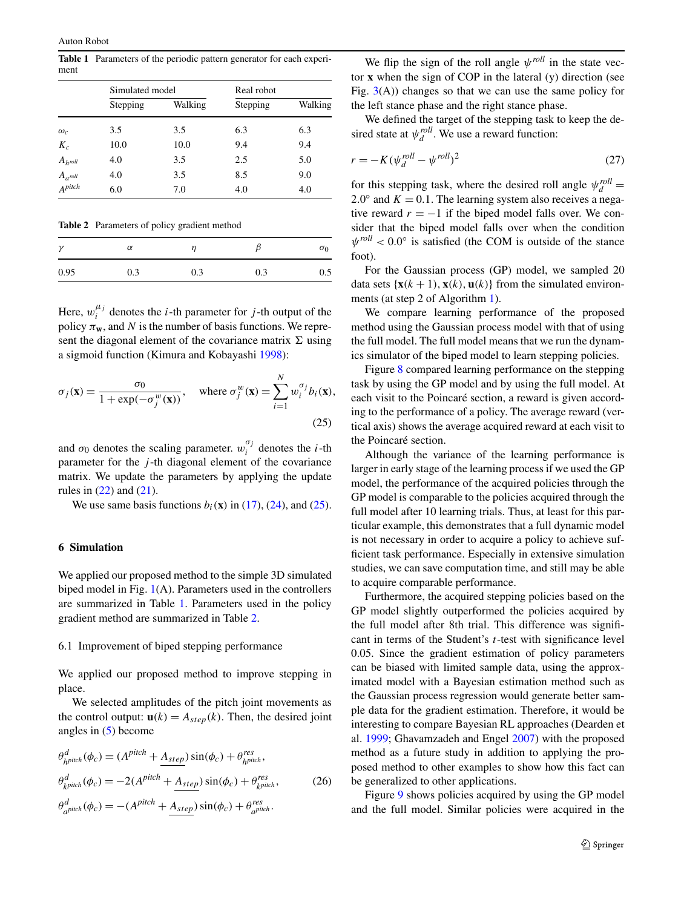<span id="page-6-0"></span>**Table 1** Parameters of the periodic pattern generator for each experiment

|              | Simulated model |         | Real robot |         |
|--------------|-----------------|---------|------------|---------|
|              | Stepping        | Walking | Stepping   | Walking |
| $\omega_c$   | 3.5             | 3.5     | 6.3        | 6.3     |
| $K_c$        | 10.0            | 10.0    | 9.4        | 9.4     |
| $A_{h}$ roll | 4.0             | 3.5     | 2.5        | 5.0     |
| $A_{a}$ roll | 4.0             | 3.5     | 8.5        | 9.0     |
| $A$ pitch    | 6.0             | 7.0     | 4.0        | 4.0     |

**Table 2** Parameters of policy gradient method

| $\gamma$ | $\alpha$ |     |     | $\sigma_0$ |
|----------|----------|-----|-----|------------|
| 0.95     | 0.3      | 0.3 | 0.3 | 0.5        |

Here,  $w_i^{\mu_j}$  denotes the *i*-th parameter for *j*-th output of the policy  $\pi_w$ , and *N* is the number of basis functions. We represent the diagonal element of the covariance matrix  $\Sigma$  using a sigmoid function (Kimura and Kobayashi [1998\)](#page-12-0):

$$
\sigma_j(\mathbf{x}) = \frac{\sigma_0}{1 + \exp(-\sigma_j^w(\mathbf{x}))}, \quad \text{where } \sigma_j^w(\mathbf{x}) = \sum_{i=1}^N w_i^{\sigma_j} b_i(\mathbf{x}),
$$
\n(25)

and  $\sigma_0$  denotes the scaling parameter.  $w_i^{\sigma_j}$  denotes the *i*-th parameter for the *j* -th diagonal element of the covariance matrix. We update the parameters by applying the update rules in  $(22)$  $(22)$  and  $(21)$  $(21)$ .

We use same basis functions  $b_i(\mathbf{x})$  in ([17\)](#page-5-0), [\(24](#page-5-0)), and (25).

# **6 Simulation**

We applied our proposed method to the simple 3D simulated biped model in Fig. [1\(](#page-1-0)A). Parameters used in the controllers are summarized in Table 1. Parameters used in the policy gradient method are summarized in Table 2.

#### 6.1 Improvement of biped stepping performance

We applied our proposed method to improve stepping in place.

We selected amplitudes of the pitch joint movements as the control output:  $\mathbf{u}(k) = A_{step}(k)$ . Then, the desired joint angles in [\(5](#page-2-0)) become

$$
\theta_{h^{pitch}}^d(\phi_c) = (A^{pitch} + \underline{A_{step}}) \sin(\phi_c) + \theta_{h^{pitch}}^{res},
$$
  
\n
$$
\theta_{k^{pitch}}^d(\phi_c) = -2(A^{pitch} + \underline{A_{step}}) \sin(\phi_c) + \theta_{k^{pitch}}^{res},
$$
  
\n
$$
\theta_{a^{pitch}}^d(\phi_c) = -(A^{pitch} + \underline{A_{step}}) \sin(\phi_c) + \theta_{a^{pitch}}^{res}.
$$
\n(26)

We flip the sign of the roll angle  $\psi^{roll}$  in the state vector **x** when the sign of COP in the lateral (y) direction (see Fig.  $3(A)$  $3(A)$ ) changes so that we can use the same policy for the left stance phase and the right stance phase.

We defined the target of the stepping task to keep the desired state at  $\psi_d^{roll}$ . We use a reward function:

$$
r = -K(\psi_d^{roll} - \psi^{roll})^2 \tag{27}
$$

for this stepping task, where the desired roll angle  $\psi_d^{roll} =$ 2.0 $\degree$  and  $K = 0.1$ . The learning system also receives a negative reward  $r = -1$  if the biped model falls over. We consider that the biped model falls over when the condition  $\psi^{roll}$  < 0.0° is satisfied (the COM is outside of the stance foot).

For the Gaussian process (GP) model, we sampled 20 data sets  $\{x(k+1), x(k), u(k)\}$  from the simulated environments (at step 2 of Algorithm [1\)](#page-3-0).

We compare learning performance of the proposed method using the Gaussian process model with that of using the full model. The full model means that we run the dynamics simulator of the biped model to learn stepping policies.

Figure [8](#page-7-0) compared learning performance on the stepping task by using the GP model and by using the full model. At each visit to the Poincaré section, a reward is given according to the performance of a policy. The average reward (vertical axis) shows the average acquired reward at each visit to the Poincaré section.

Although the variance of the learning performance is larger in early stage of the learning process if we used the GP model, the performance of the acquired policies through the GP model is comparable to the policies acquired through the full model after 10 learning trials. Thus, at least for this particular example, this demonstrates that a full dynamic model is not necessary in order to acquire a policy to achieve sufficient task performance. Especially in extensive simulation studies, we can save computation time, and still may be able to acquire comparable performance.

Furthermore, the acquired stepping policies based on the GP model slightly outperformed the policies acquired by the full model after 8th trial. This difference was significant in terms of the Student's *t*-test with significance level 0.05. Since the gradient estimation of policy parameters can be biased with limited sample data, using the approximated model with a Bayesian estimation method such as the Gaussian process regression would generate better sample data for the gradient estimation. Therefore, it would be interesting to compare Bayesian RL approaches (Dearden et al. [1999](#page-11-0); Ghavamzadeh and Engel [2007](#page-12-0)) with the proposed method as a future study in addition to applying the proposed method to other examples to show how this fact can be generalized to other applications.

Figure [9](#page-7-0) shows policies acquired by using the GP model and the full model. Similar policies were acquired in the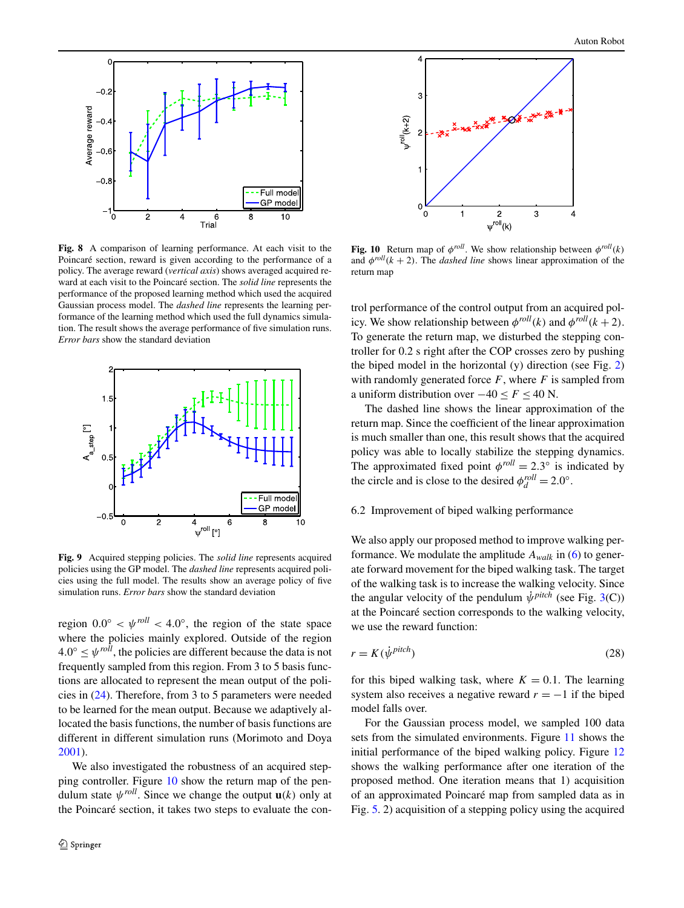<span id="page-7-0"></span>

**Fig. 8** A comparison of learning performance. At each visit to the Poincaré section, reward is given according to the performance of a policy. The average reward (*vertical axis*) shows averaged acquired reward at each visit to the Poincaré section. The *solid line* represents the performance of the proposed learning method which used the acquired Gaussian process model. The *dashed line* represents the learning performance of the learning method which used the full dynamics simulation. The result shows the average performance of five simulation runs. *Error bars* show the standard deviation



**Fig. 9** Acquired stepping policies. The *solid line* represents acquired policies using the GP model. The *dashed line* represents acquired policies using the full model. The results show an average policy of five simulation runs. *Error bars* show the standard deviation

region  $0.0\degree < \psi^{roll} < 4.0\degree$ , the region of the state space where the policies mainly explored. Outside of the region  $4.0\degree < \psi$ <sup>roll</sup>, the policies are different because the data is not frequently sampled from this region. From 3 to 5 basis functions are allocated to represent the mean output of the policies in ([24](#page-5-0)). Therefore, from 3 to 5 parameters were needed to be learned for the mean output. Because we adaptively allocated the basis functions, the number of basis functions are different in different simulation runs (Morimoto and Doya [2001\)](#page-12-0).

We also investigated the robustness of an acquired stepping controller. Figure 10 show the return map of the pendulum state  $\psi^{roll}$ . Since we change the output  $\mathbf{u}(k)$  only at the Poincaré section, it takes two steps to evaluate the con-



**Fig. 10** Return map of  $\phi^{roll}$ . We show relationship between  $\phi^{roll}(k)$ and  $\phi^{roll}(k+2)$ . The *dashed line* shows linear approximation of the return map

trol performance of the control output from an acquired policy. We show relationship between  $\phi^{roll}(k)$  and  $\phi^{roll}(k+2)$ . To generate the return map, we disturbed the stepping controller for 0.2 s right after the COP crosses zero by pushing the biped model in the horizontal  $(v)$  direction (see Fig. [2\)](#page-1-0) with randomly generated force *F*, where *F* is sampled from a uniform distribution over  $-40 < F < 40$  N.

The dashed line shows the linear approximation of the return map. Since the coefficient of the linear approximation is much smaller than one, this result shows that the acquired policy was able to locally stabilize the stepping dynamics. The approximated fixed point  $\phi^{roll} = 2.3^\circ$  is indicated by the circle and is close to the desired  $\phi_d^{roll} = 2.0^\circ$ .

#### 6.2 Improvement of biped walking performance

We also apply our proposed method to improve walking performance. We modulate the amplitude  $A_{walk}$  in ([6\)](#page-2-0) to generate forward movement for the biped walking task. The target of the walking task is to increase the walking velocity. Since the angular velocity of the pendulum  $\dot{\psi}^{pitch}$  (see Fig. [3](#page-2-0)(C)) at the Poincaré section corresponds to the walking velocity, we use the reward function:

$$
r = K(\dot{\psi}^{pitch})
$$
 (28)

for this biped walking task, where  $K = 0.1$ . The learning system also receives a negative reward  $r = -1$  if the biped model falls over.

For the Gaussian process model, we sampled 100 data sets from the simulated environments. Figure [11](#page-8-0) shows the initial performance of the biped walking policy. Figure [12](#page-8-0) shows the walking performance after one iteration of the proposed method. One iteration means that 1) acquisition of an approximated Poincaré map from sampled data as in Fig. [5.](#page-3-0) 2) acquisition of a stepping policy using the acquired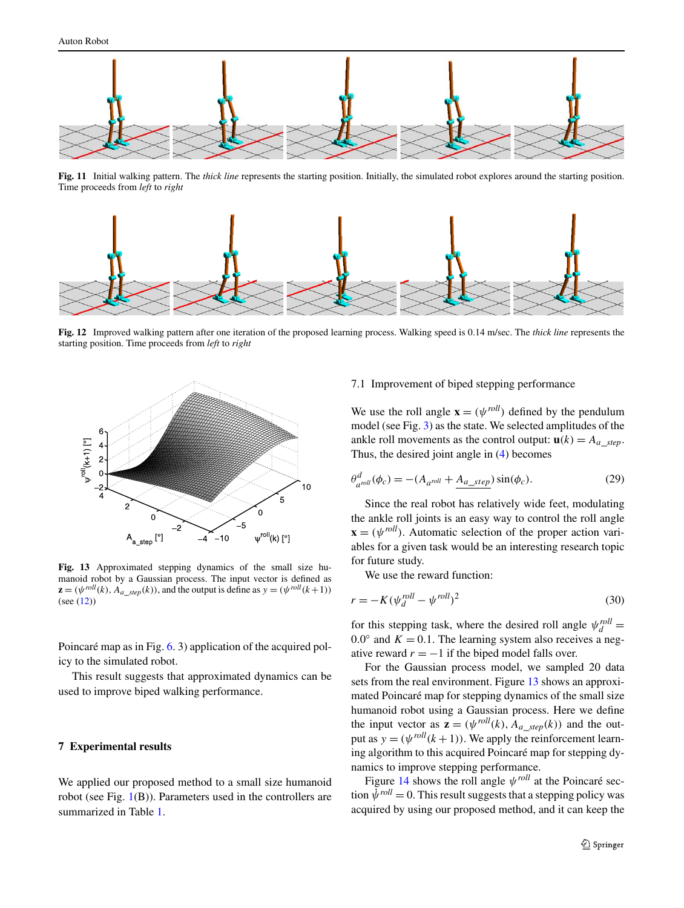<span id="page-8-0"></span>

**Fig. 11** Initial walking pattern. The *thick line* represents the starting position. Initially, the simulated robot explores around the starting position. Time proceeds from *left* to *right*



**Fig. 12** Improved walking pattern after one iteration of the proposed learning process. Walking speed is 0.14 m/sec. The *thick line* represents the starting position. Time proceeds from *left* to *right*



**Fig. 13** Approximated stepping dynamics of the small size humanoid robot by a Gaussian process. The input vector is defined as  $\mathbf{z} = (\psi^{roll}(k), A_{a\_step}(k))$ , and the output is define as  $y = (\psi^{roll}(k+1))$  $(see (12))$  $(see (12))$  $(see (12))$ 

Poincaré map as in Fig. [6](#page-3-0). 3) application of the acquired policy to the simulated robot.

This result suggests that approximated dynamics can be used to improve biped walking performance.

# **7 Experimental results**

We applied our proposed method to a small size humanoid robot (see Fig. [1\(](#page-1-0)B)). Parameters used in the controllers are summarized in Table [1.](#page-6-0)

# 7.1 Improvement of biped stepping performance

We use the roll angle  $\mathbf{x} = (\psi^{roll})$  defined by the pendulum model (see Fig. [3\)](#page-2-0) as the state. We selected amplitudes of the ankle roll movements as the control output:  $\mathbf{u}(k) = A_a$ <sub>step</sub>. Thus, the desired joint angle in [\(4](#page-2-0)) becomes

$$
\theta_{a^{\text{roll}}}^d(\phi_c) = -(A_{a^{\text{roll}}} + \underline{A_{a\_step}}) \sin(\phi_c). \tag{29}
$$

Since the real robot has relatively wide feet, modulating the ankle roll joints is an easy way to control the roll angle  $\mathbf{x} = (\psi^{roll})$ . Automatic selection of the proper action variables for a given task would be an interesting research topic for future study.

We use the reward function:

$$
r = -K(\psi_d^{roll} - \psi^{roll})^2 \tag{30}
$$

for this stepping task, where the desired roll angle  $\psi_d^{roll}$  = 0.0 $\degree$  and  $K = 0.1$ . The learning system also receives a negative reward  $r = -1$  if the biped model falls over.

For the Gaussian process model, we sampled 20 data sets from the real environment. Figure 13 shows an approximated Poincaré map for stepping dynamics of the small size humanoid robot using a Gaussian process. Here we define the input vector as  $\mathbf{z} = (\psi^{roll}(k), A_{a \text{ step}}(k))$  and the output as  $y = (\psi^{roll}(k+1))$ . We apply the reinforcement learning algorithm to this acquired Poincaré map for stepping dynamics to improve stepping performance.

Figure [14](#page-9-0) shows the roll angle *ψroll* at the Poincaré section  $\dot{\psi}^{roll} = 0$ . This result suggests that a stepping policy was acquired by using our proposed method, and it can keep the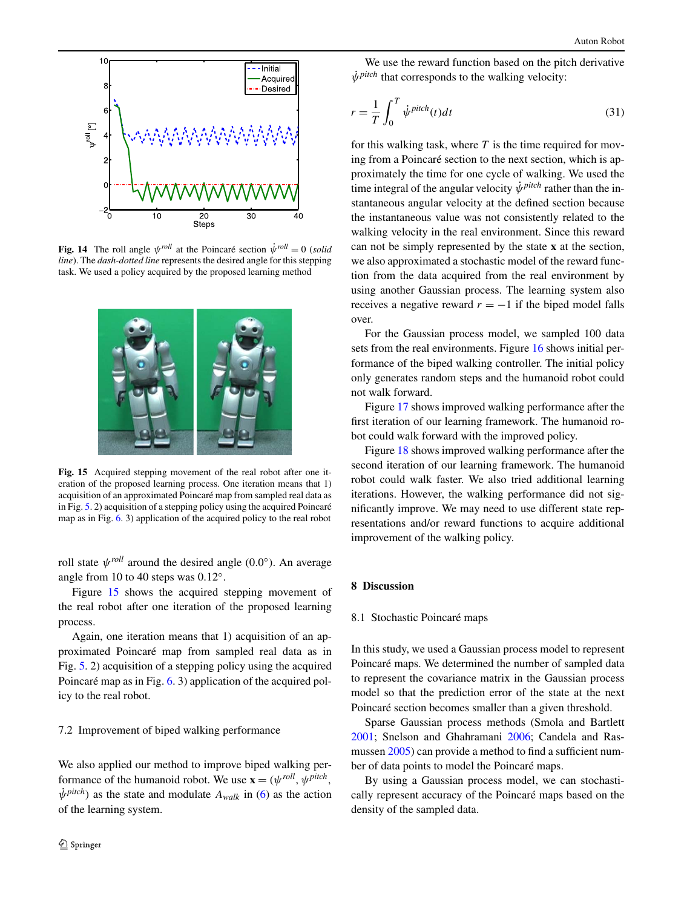<span id="page-9-0"></span>

**Fig. 14** The roll angle  $\psi^{roll}$  at the Poincaré section  $\dot{\psi}^{roll} = 0$  (*solid line*). The *dash-dotted line* represents the desired angle for this stepping task. We used a policy acquired by the proposed learning method



**Fig. 15** Acquired stepping movement of the real robot after one iteration of the proposed learning process. One iteration means that 1) acquisition of an approximated Poincaré map from sampled real data as in Fig. [5](#page-3-0). 2) acquisition of a stepping policy using the acquired Poincaré map as in Fig. [6](#page-3-0). 3) application of the acquired policy to the real robot

roll state  $\psi^{roll}$  around the desired angle (0.0<sup>°</sup>). An average angle from 10 to 40 steps was 0*.*12◦.

Figure 15 shows the acquired stepping movement of the real robot after one iteration of the proposed learning process.

Again, one iteration means that 1) acquisition of an approximated Poincaré map from sampled real data as in Fig. [5.](#page-3-0) 2) acquisition of a stepping policy using the acquired Poincaré map as in Fig. [6](#page-3-0). 3) application of the acquired policy to the real robot.

#### 7.2 Improvement of biped walking performance

We also applied our method to improve biped walking performance of the humanoid robot. We use  $\mathbf{x} = (\psi^{roll}, \psi^{pitch},$  $\psi$ <sup>pitch</sup>) as the state and modulate  $A_{walk}$  in ([6](#page-2-0)) as the action of the learning system.

We use the reward function based on the pitch derivative  $\dot{\psi}^{pitch}$  that corresponds to the walking velocity:

$$
r = \frac{1}{T} \int_0^T \dot{\psi}^{pitch}(t) dt
$$
\n(31)

for this walking task, where *T* is the time required for moving from a Poincaré section to the next section, which is approximately the time for one cycle of walking. We used the time integral of the angular velocity  $\dot{\psi}^{pitch}$  rather than the instantaneous angular velocity at the defined section because the instantaneous value was not consistently related to the walking velocity in the real environment. Since this reward can not be simply represented by the state **x** at the section, we also approximated a stochastic model of the reward function from the data acquired from the real environment by using another Gaussian process. The learning system also receives a negative reward  $r = -1$  if the biped model falls over.

For the Gaussian process model, we sampled 100 data sets from the real environments. Figure [16](#page-10-0) shows initial performance of the biped walking controller. The initial policy only generates random steps and the humanoid robot could not walk forward.

Figure [17](#page-10-0) shows improved walking performance after the first iteration of our learning framework. The humanoid robot could walk forward with the improved policy.

Figure [18](#page-10-0) shows improved walking performance after the second iteration of our learning framework. The humanoid robot could walk faster. We also tried additional learning iterations. However, the walking performance did not significantly improve. We may need to use different state representations and/or reward functions to acquire additional improvement of the walking policy.

# **8 Discussion**

#### 8.1 Stochastic Poincaré maps

In this study, we used a Gaussian process model to represent Poincaré maps. We determined the number of sampled data to represent the covariance matrix in the Gaussian process model so that the prediction error of the state at the next Poincaré section becomes smaller than a given threshold.

Sparse Gaussian process methods (Smola and Bartlett [2001;](#page-12-0) Snelson and Ghahramani [2006](#page-12-0); Candela and Rasmussen [2005\)](#page-11-0) can provide a method to find a sufficient number of data points to model the Poincaré maps.

By using a Gaussian process model, we can stochastically represent accuracy of the Poincaré maps based on the density of the sampled data.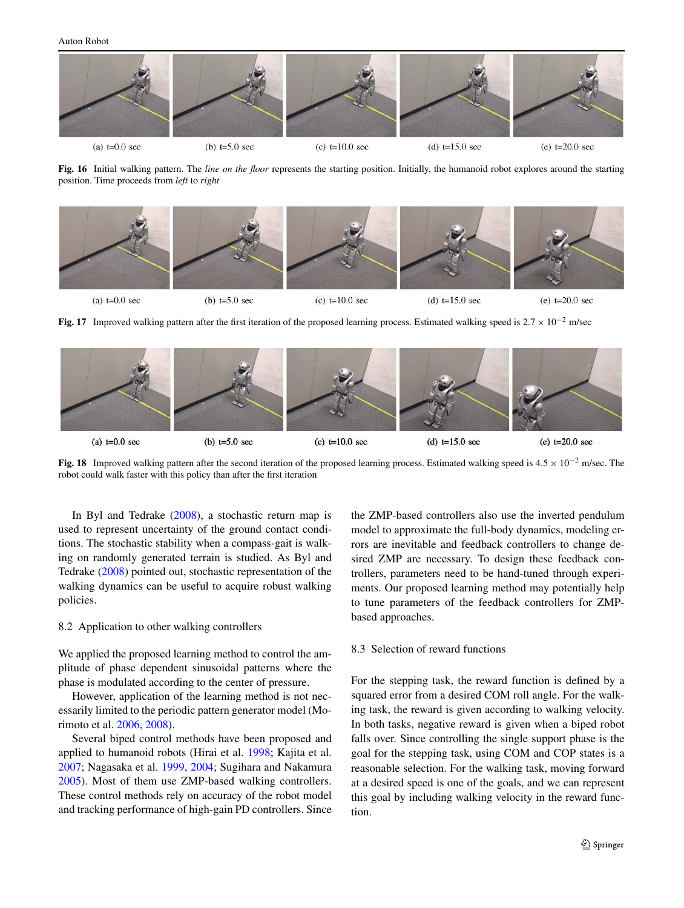<span id="page-10-0"></span>Auton Robot



**Fig. 16** Initial walking pattern. The *line on the floor* represents the starting position. Initially, the humanoid robot explores around the starting position. Time proceeds from *left* to *right*



**Fig. 17** Improved walking pattern after the first iteration of the proposed learning process. Estimated walking speed is 2*.*7 × 10−<sup>2</sup> m/sec



**Fig. 18** Improved walking pattern after the second iteration of the proposed learning process. Estimated walking speed is 4*.*5 × 10−<sup>2</sup> m/sec. The robot could walk faster with this policy than after the first iteration

In Byl and Tedrake [\(2008](#page-11-0)), a stochastic return map is used to represent uncertainty of the ground contact conditions. The stochastic stability when a compass-gait is walking on randomly generated terrain is studied. As Byl and Tedrake ([2008\)](#page-11-0) pointed out, stochastic representation of the walking dynamics can be useful to acquire robust walking policies.

# 8.2 Application to other walking controllers

We applied the proposed learning method to control the amplitude of phase dependent sinusoidal patterns where the phase is modulated according to the center of pressure.

However, application of the learning method is not necessarily limited to the periodic pattern generator model (Morimoto et al. [2006,](#page-12-0) [2008\)](#page-12-0).

Several biped control methods have been proposed and applied to humanoid robots (Hirai et al. [1998](#page-12-0); Kajita et al. [2007;](#page-12-0) Nagasaka et al. [1999,](#page-12-0) [2004](#page-12-0); Sugihara and Nakamura [2005\)](#page-12-0). Most of them use ZMP-based walking controllers. These control methods rely on accuracy of the robot model and tracking performance of high-gain PD controllers. Since the ZMP-based controllers also use the inverted pendulum model to approximate the full-body dynamics, modeling errors are inevitable and feedback controllers to change desired ZMP are necessary. To design these feedback controllers, parameters need to be hand-tuned through experiments. Our proposed learning method may potentially help to tune parameters of the feedback controllers for ZMPbased approaches.

# 8.3 Selection of reward functions

For the stepping task, the reward function is defined by a squared error from a desired COM roll angle. For the walking task, the reward is given according to walking velocity. In both tasks, negative reward is given when a biped robot falls over. Since controlling the single support phase is the goal for the stepping task, using COM and COP states is a reasonable selection. For the walking task, moving forward at a desired speed is one of the goals, and we can represent this goal by including walking velocity in the reward function.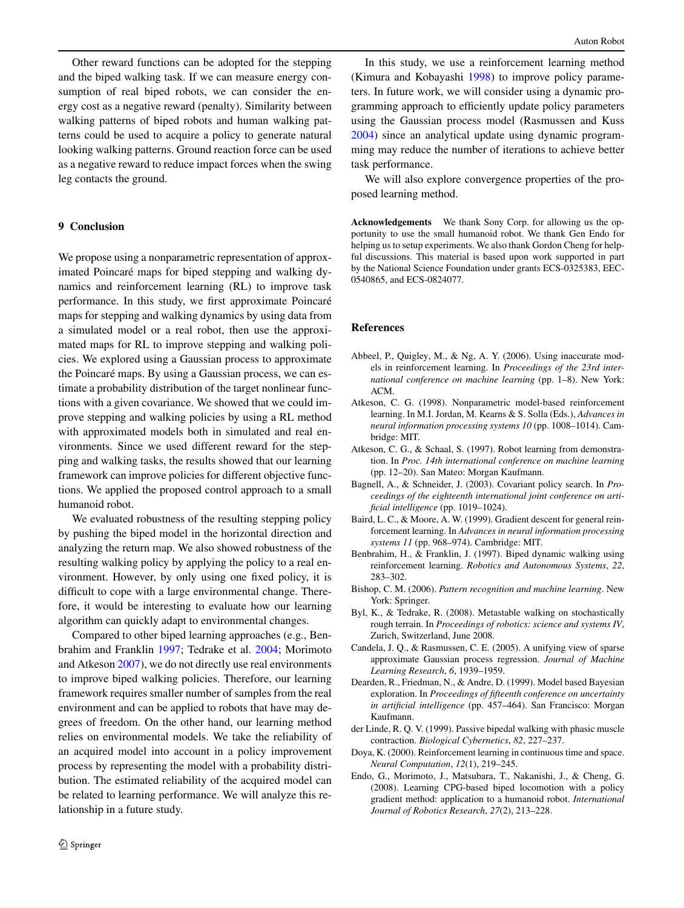<span id="page-11-0"></span>Other reward functions can be adopted for the stepping and the biped walking task. If we can measure energy consumption of real biped robots, we can consider the energy cost as a negative reward (penalty). Similarity between walking patterns of biped robots and human walking patterns could be used to acquire a policy to generate natural looking walking patterns. Ground reaction force can be used as a negative reward to reduce impact forces when the swing leg contacts the ground.

# **9 Conclusion**

We propose using a nonparametric representation of approximated Poincaré maps for biped stepping and walking dynamics and reinforcement learning (RL) to improve task performance. In this study, we first approximate Poincaré maps for stepping and walking dynamics by using data from a simulated model or a real robot, then use the approximated maps for RL to improve stepping and walking policies. We explored using a Gaussian process to approximate the Poincaré maps. By using a Gaussian process, we can estimate a probability distribution of the target nonlinear functions with a given covariance. We showed that we could improve stepping and walking policies by using a RL method with approximated models both in simulated and real environments. Since we used different reward for the stepping and walking tasks, the results showed that our learning framework can improve policies for different objective functions. We applied the proposed control approach to a small humanoid robot.

We evaluated robustness of the resulting stepping policy by pushing the biped model in the horizontal direction and analyzing the return map. We also showed robustness of the resulting walking policy by applying the policy to a real environment. However, by only using one fixed policy, it is difficult to cope with a large environmental change. Therefore, it would be interesting to evaluate how our learning algorithm can quickly adapt to environmental changes.

Compared to other biped learning approaches (e.g., Benbrahim and Franklin 1997; Tedrake et al. [2004](#page-12-0); Morimoto and Atkeson [2007](#page-12-0)), we do not directly use real environments to improve biped walking policies. Therefore, our learning framework requires smaller number of samples from the real environment and can be applied to robots that have may degrees of freedom. On the other hand, our learning method relies on environmental models. We take the reliability of an acquired model into account in a policy improvement process by representing the model with a probability distribution. The estimated reliability of the acquired model can be related to learning performance. We will analyze this relationship in a future study.

In this study, we use a reinforcement learning method (Kimura and Kobayashi [1998\)](#page-12-0) to improve policy parameters. In future work, we will consider using a dynamic programming approach to efficiently update policy parameters using the Gaussian process model (Rasmussen and Kuss [2004\)](#page-12-0) since an analytical update using dynamic programming may reduce the number of iterations to achieve better task performance.

We will also explore convergence properties of the proposed learning method.

**Acknowledgements** We thank Sony Corp. for allowing us the opportunity to use the small humanoid robot. We thank Gen Endo for helping us to setup experiments. We also thank Gordon Cheng for helpful discussions. This material is based upon work supported in part by the National Science Foundation under grants ECS-0325383, EEC-0540865, and ECS-0824077.

#### **References**

- Abbeel, P., Quigley, M., & Ng, A. Y. (2006). Using inaccurate models in reinforcement learning. In *Proceedings of the 23rd international conference on machine learning* (pp. 1–8). New York: ACM.
- Atkeson, C. G. (1998). Nonparametric model-based reinforcement learning. In M.I. Jordan, M. Kearns & S. Solla (Eds.), *Advances in neural information processing systems 10* (pp. 1008–1014). Cambridge: MIT.
- Atkeson, C. G., & Schaal, S. (1997). Robot learning from demonstration. In *Proc. 14th international conference on machine learning* (pp. 12–20). San Mateo: Morgan Kaufmann.
- Bagnell, A., & Schneider, J. (2003). Covariant policy search. In *Proceedings of the eighteenth international joint conference on artificial intelligence* (pp. 1019–1024).
- Baird, L. C., & Moore, A. W. (1999). Gradient descent for general reinforcement learning. In *Advances in neural information processing systems 11* (pp. 968–974). Cambridge: MIT.
- Benbrahim, H., & Franklin, J. (1997). Biped dynamic walking using reinforcement learning. *Robotics and Autonomous Systems*, *22*, 283–302.
- Bishop, C. M. (2006). *Pattern recognition and machine learning*. New York: Springer.
- Byl, K., & Tedrake, R. (2008). Metastable walking on stochastically rough terrain. In *Proceedings of robotics: science and systems IV*, Zurich, Switzerland, June 2008.
- Candela, J. Q., & Rasmussen, C. E. (2005). A unifying view of sparse approximate Gaussian process regression. *Journal of Machine Learning Research*, *6*, 1939–1959.
- Dearden, R., Friedman, N., & Andre, D. (1999). Model based Bayesian exploration. In *Proceedings of fifteenth conference on uncertainty in artificial intelligence* (pp. 457–464). San Francisco: Morgan Kaufmann.
- der Linde, R. Q. V. (1999). Passive bipedal walking with phasic muscle contraction. *Biological Cybernetics*, *82*, 227–237.
- Doya, K. (2000). Reinforcement learning in continuous time and space. *Neural Computation*, *12*(1), 219–245.
- Endo, G., Morimoto, J., Matsubara, T., Nakanishi, J., & Cheng, G. (2008). Learning CPG-based biped locomotion with a policy gradient method: application to a humanoid robot. *International Journal of Robotics Research*, *27*(2), 213–228.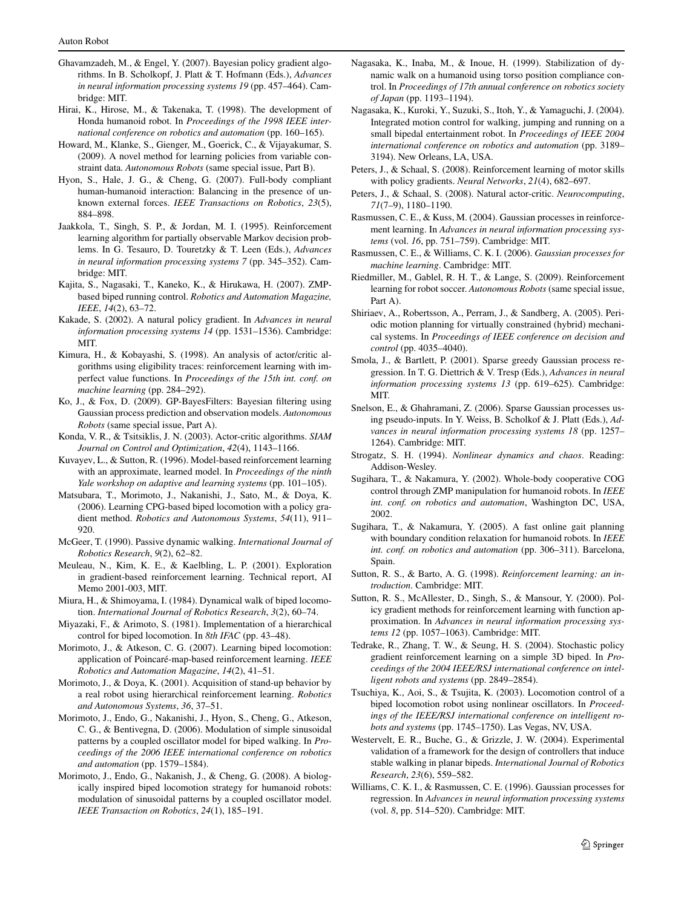- <span id="page-12-0"></span>Ghavamzadeh, M., & Engel, Y. (2007). Bayesian policy gradient algorithms. In B. Scholkopf, J. Platt & T. Hofmann (Eds.), *Advances in neural information processing systems 19* (pp. 457–464). Cambridge: MIT.
- Hirai, K., Hirose, M., & Takenaka, T. (1998). The development of Honda humanoid robot. In *Proceedings of the 1998 IEEE international conference on robotics and automation* (pp. 160–165).
- Howard, M., Klanke, S., Gienger, M., Goerick, C., & Vijayakumar, S. (2009). A novel method for learning policies from variable constraint data. *Autonomous Robots* (same special issue, Part B).
- Hyon, S., Hale, J. G., & Cheng, G. (2007). Full-body compliant human-humanoid interaction: Balancing in the presence of unknown external forces. *IEEE Transactions on Robotics*, *23*(5), 884–898.
- Jaakkola, T., Singh, S. P., & Jordan, M. I. (1995). Reinforcement learning algorithm for partially observable Markov decision problems. In G. Tesauro, D. Touretzky & T. Leen (Eds.), *Advances in neural information processing systems 7* (pp. 345–352). Cambridge: MIT.
- Kajita, S., Nagasaki, T., Kaneko, K., & Hirukawa, H. (2007). ZMPbased biped running control. *Robotics and Automation Magazine, IEEE*, *14*(2), 63–72.
- Kakade, S. (2002). A natural policy gradient. In *Advances in neural information processing systems 14* (pp. 1531–1536). Cambridge: **MIT**
- Kimura, H., & Kobayashi, S. (1998). An analysis of actor/critic algorithms using eligibility traces: reinforcement learning with imperfect value functions. In *Proceedings of the 15th int. conf. on machine learning* (pp. 284–292).
- Ko, J., & Fox, D. (2009). GP-BayesFilters: Bayesian filtering using Gaussian process prediction and observation models. *Autonomous Robots* (same special issue, Part A).
- Konda, V. R., & Tsitsiklis, J. N. (2003). Actor-critic algorithms. *SIAM Journal on Control and Optimization*, *42*(4), 1143–1166.
- Kuvayev, L., & Sutton, R. (1996). Model-based reinforcement learning with an approximate, learned model. In *Proceedings of the ninth Yale workshop on adaptive and learning systems* (pp. 101–105).
- Matsubara, T., Morimoto, J., Nakanishi, J., Sato, M., & Doya, K. (2006). Learning CPG-based biped locomotion with a policy gradient method. *Robotics and Autonomous Systems*, *54*(11), 911– 920.
- McGeer, T. (1990). Passive dynamic walking. *International Journal of Robotics Research*, *9*(2), 62–82.
- Meuleau, N., Kim, K. E., & Kaelbling, L. P. (2001). Exploration in gradient-based reinforcement learning. Technical report, AI Memo 2001-003, MIT.
- Miura, H., & Shimoyama, I. (1984). Dynamical walk of biped locomotion. *International Journal of Robotics Research*, *3*(2), 60–74.
- Miyazaki, F., & Arimoto, S. (1981). Implementation of a hierarchical control for biped locomotion. In *8th IFAC* (pp. 43–48).
- Morimoto, J., & Atkeson, C. G. (2007). Learning biped locomotion: application of Poincaré-map-based reinforcement learning. *IEEE Robotics and Automation Magazine*, *14*(2), 41–51.
- Morimoto, J., & Doya, K. (2001). Acquisition of stand-up behavior by a real robot using hierarchical reinforcement learning. *Robotics and Autonomous Systems*, *36*, 37–51.
- Morimoto, J., Endo, G., Nakanishi, J., Hyon, S., Cheng, G., Atkeson, C. G., & Bentivegna, D. (2006). Modulation of simple sinusoidal patterns by a coupled oscillator model for biped walking. In *Proceedings of the 2006 IEEE international conference on robotics and automation* (pp. 1579–1584).
- Morimoto, J., Endo, G., Nakanish, J., & Cheng, G. (2008). A biologically inspired biped locomotion strategy for humanoid robots: modulation of sinusoidal patterns by a coupled oscillator model. *IEEE Transaction on Robotics*, *24*(1), 185–191.
- Nagasaka, K., Inaba, M., & Inoue, H. (1999). Stabilization of dynamic walk on a humanoid using torso position compliance control. In *Proceedings of 17th annual conference on robotics society of Japan* (pp. 1193–1194).
- Nagasaka, K., Kuroki, Y., Suzuki, S., Itoh, Y., & Yamaguchi, J. (2004). Integrated motion control for walking, jumping and running on a small bipedal entertainment robot. In *Proceedings of IEEE 2004 international conference on robotics and automation* (pp. 3189– 3194). New Orleans, LA, USA.
- Peters, J., & Schaal, S. (2008). Reinforcement learning of motor skills with policy gradients. *Neural Networks*, *21*(4), 682–697.
- Peters, J., & Schaal, S. (2008). Natural actor-critic. *Neurocomputing*, *71*(7–9), 1180–1190.
- Rasmussen, C. E., & Kuss, M. (2004). Gaussian processes in reinforcement learning. In *Advances in neural information processing systems* (vol. *16*, pp. 751–759). Cambridge: MIT.
- Rasmussen, C. E., & Williams, C. K. I. (2006). *Gaussian processes for machine learning*. Cambridge: MIT.
- Riedmiller, M., Gablel, R. H. T., & Lange, S. (2009). Reinforcement learning for robot soccer. *Autonomous Robots* (same special issue, Part A).
- Shiriaev, A., Robertsson, A., Perram, J., & Sandberg, A. (2005). Periodic motion planning for virtually constrained (hybrid) mechanical systems. In *Proceedings of IEEE conference on decision and control* (pp. 4035–4040).
- Smola, J., & Bartlett, P. (2001). Sparse greedy Gaussian process regression. In T. G. Diettrich & V. Tresp (Eds.), *Advances in neural information processing systems 13* (pp. 619–625). Cambridge: MIT.
- Snelson, E., & Ghahramani, Z. (2006). Sparse Gaussian processes using pseudo-inputs. In Y. Weiss, B. Scholkof & J. Platt (Eds.), *Advances in neural information processing systems 18* (pp. 1257– 1264). Cambridge: MIT.
- Strogatz, S. H. (1994). *Nonlinear dynamics and chaos*. Reading: Addison-Wesley.
- Sugihara, T., & Nakamura, Y. (2002). Whole-body cooperative COG control through ZMP manipulation for humanoid robots. In *IEEE int. conf. on robotics and automation*, Washington DC, USA, 2002.
- Sugihara, T., & Nakamura, Y. (2005). A fast online gait planning with boundary condition relaxation for humanoid robots. In *IEEE int. conf. on robotics and automation* (pp. 306–311). Barcelona, Spain.
- Sutton, R. S., & Barto, A. G. (1998). *Reinforcement learning: an introduction*. Cambridge: MIT.
- Sutton, R. S., McAllester, D., Singh, S., & Mansour, Y. (2000). Policy gradient methods for reinforcement learning with function approximation. In *Advances in neural information processing systems 12* (pp. 1057–1063). Cambridge: MIT.
- Tedrake, R., Zhang, T. W., & Seung, H. S. (2004). Stochastic policy gradient reinforcement learning on a simple 3D biped. In *Proceedings of the 2004 IEEE/RSJ international conference on intelligent robots and systems* (pp. 2849–2854).
- Tsuchiya, K., Aoi, S., & Tsujita, K. (2003). Locomotion control of a biped locomotion robot using nonlinear oscillators. In *Proceedings of the IEEE/RSJ international conference on intelligent robots and systems* (pp. 1745–1750). Las Vegas, NV, USA.
- Westervelt, E. R., Buche, G., & Grizzle, J. W. (2004). Experimental validation of a framework for the design of controllers that induce stable walking in planar bipeds. *International Journal of Robotics Research*, *23*(6), 559–582.
- Williams, C. K. I., & Rasmussen, C. E. (1996). Gaussian processes for regression. In *Advances in neural information processing systems* (vol. *8*, pp. 514–520). Cambridge: MIT.